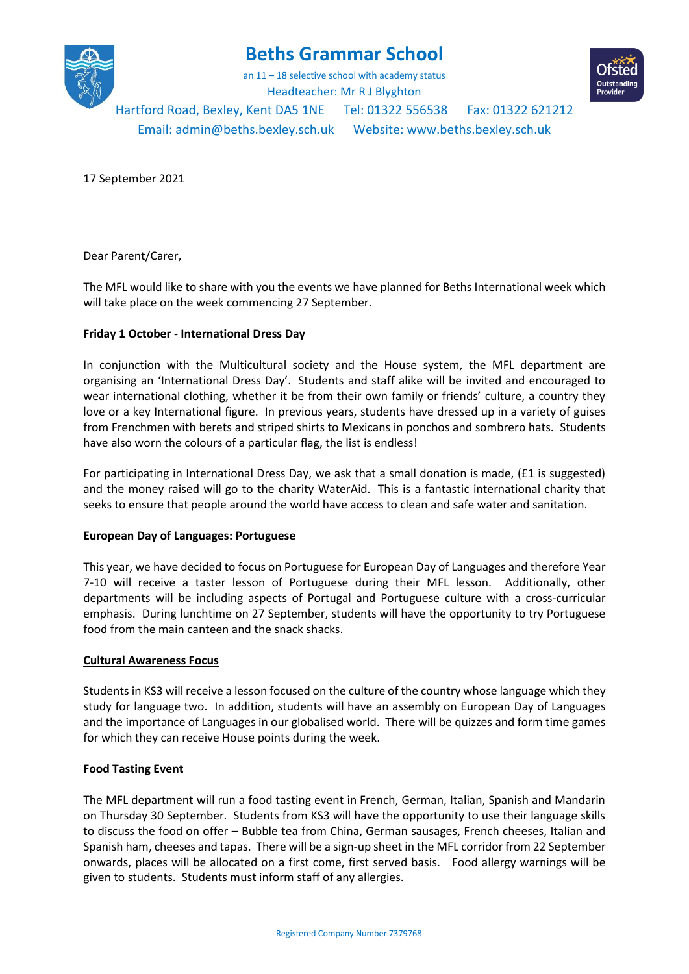

# **Beths Grammar School**

an 11 – 18 selective school with academy status



Headteacher: Mr R J Blyghton

Hartford Road, Bexley, Kent DA5 1NE Tel: 01322 556538 Fax: 01322 621212

Email[: admin@beths.bexley.sch.uk](mailto:admin@beths.bexley.sch.uk) Website: [www.beths.bexley.sch.uk](http://www.beths.bexley.sch.uk/)

17 September 2021

Dear Parent/Carer,

The MFL would like to share with you the events we have planned for Beths International week which will take place on the week commencing 27 September.

## **Friday 1 October - International Dress Day**

In conjunction with the Multicultural society and the House system, the MFL department are organising an 'International Dress Day'. Students and staff alike will be invited and encouraged to wear international clothing, whether it be from their own family or friends' culture, a country they love or a key International figure. In previous years, students have dressed up in a variety of guises from Frenchmen with berets and striped shirts to Mexicans in ponchos and sombrero hats. Students have also worn the colours of a particular flag, the list is endless!

For participating in International Dress Day, we ask that a small donation is made, (£1 is suggested) and the money raised will go to the charity WaterAid. This is a fantastic international charity that seeks to ensure that people around the world have access to clean and safe water and sanitation.

### **European Day of Languages: Portuguese**

This year, we have decided to focus on Portuguese for European Day of Languages and therefore Year 7-10 will receive a taster lesson of Portuguese during their MFL lesson. Additionally, other departments will be including aspects of Portugal and Portuguese culture with a cross-curricular emphasis. During lunchtime on 27 September, students will have the opportunity to try Portuguese food from the main canteen and the snack shacks.

### **Cultural Awareness Focus**

Students in KS3 will receive a lesson focused on the culture of the country whose language which they study for language two. In addition, students will have an assembly on European Day of Languages and the importance of Languages in our globalised world. There will be quizzes and form time games for which they can receive House points during the week.

### **Food Tasting Event**

The MFL department will run a food tasting event in French, German, Italian, Spanish and Mandarin on Thursday 30 September. Students from KS3 will have the opportunity to use their language skills to discuss the food on offer – Bubble tea from China, German sausages, French cheeses, Italian and Spanish ham, cheeses and tapas. There will be a sign-up sheet in the MFL corridor from 22 September onwards, places will be allocated on a first come, first served basis. Food allergy warnings will be given to students. Students must inform staff of any allergies.